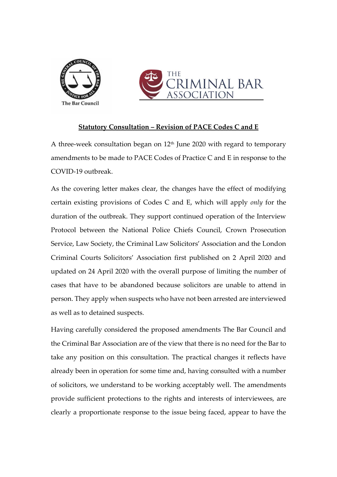



## **Statutory Consultation – Revision of PACE Codes C and E**

A three-week consultation began on  $12<sup>th</sup>$  June 2020 with regard to temporary amendments to be made to PACE Codes of Practice C and E in response to the COVID-19 outbreak.

As the covering letter makes clear, the changes have the effect of modifying certain existing provisions of Codes C and E, which will apply *only* for the duration of the outbreak. They support continued operation of the Interview Protocol between the National Police Chiefs Council, Crown Prosecution Service, Law Society, the Criminal Law Solicitors' Association and the London Criminal Courts Solicitors' Association first published on 2 April 2020 and updated on 24 April 2020 with the overall purpose of limiting the number of cases that have to be abandoned because solicitors are unable to attend in person. They apply when suspects who have not been arrested are interviewed as well as to detained suspects.

Having carefully considered the proposed amendments The Bar Council and the Criminal Bar Association are of the view that there is no need for the Bar to take any position on this consultation. The practical changes it reflects have already been in operation for some time and, having consulted with a number of solicitors, we understand to be working acceptably well. The amendments provide sufficient protections to the rights and interests of interviewees, are clearly a proportionate response to the issue being faced, appear to have the